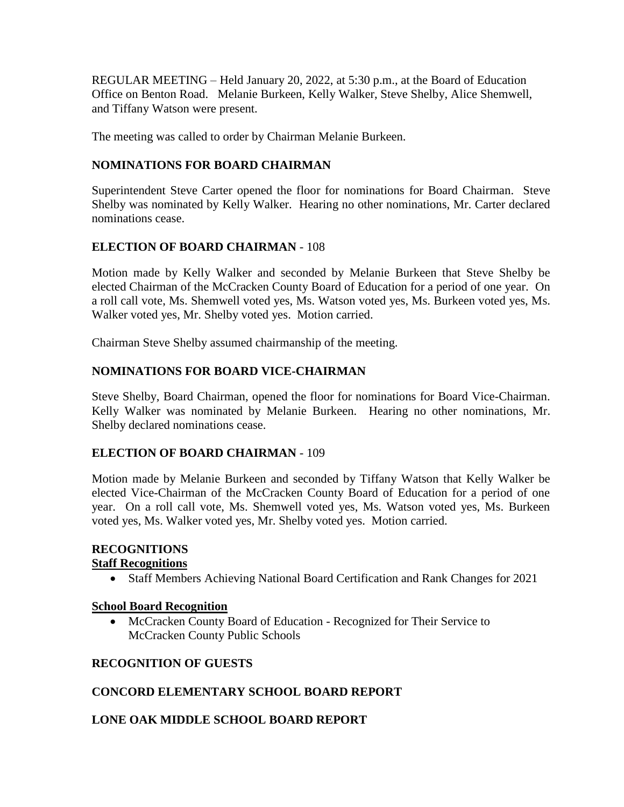REGULAR MEETING – Held January 20, 2022, at 5:30 p.m., at the Board of Education Office on Benton Road. Melanie Burkeen, Kelly Walker, Steve Shelby, Alice Shemwell, and Tiffany Watson were present.

The meeting was called to order by Chairman Melanie Burkeen.

# **NOMINATIONS FOR BOARD CHAIRMAN**

Superintendent Steve Carter opened the floor for nominations for Board Chairman. Steve Shelby was nominated by Kelly Walker. Hearing no other nominations, Mr. Carter declared nominations cease.

# **ELECTION OF BOARD CHAIRMAN** - 108

Motion made by Kelly Walker and seconded by Melanie Burkeen that Steve Shelby be elected Chairman of the McCracken County Board of Education for a period of one year. On a roll call vote, Ms. Shemwell voted yes, Ms. Watson voted yes, Ms. Burkeen voted yes, Ms. Walker voted yes, Mr. Shelby voted yes. Motion carried.

Chairman Steve Shelby assumed chairmanship of the meeting.

# **NOMINATIONS FOR BOARD VICE-CHAIRMAN**

Steve Shelby, Board Chairman, opened the floor for nominations for Board Vice-Chairman. Kelly Walker was nominated by Melanie Burkeen. Hearing no other nominations, Mr. Shelby declared nominations cease.

# **ELECTION OF BOARD CHAIRMAN** - 109

Motion made by Melanie Burkeen and seconded by Tiffany Watson that Kelly Walker be elected Vice-Chairman of the McCracken County Board of Education for a period of one year. On a roll call vote, Ms. Shemwell voted yes, Ms. Watson voted yes, Ms. Burkeen voted yes, Ms. Walker voted yes, Mr. Shelby voted yes. Motion carried.

# **RECOGNITIONS**

# **Staff Recognitions**

Staff Members Achieving National Board Certification and Rank Changes for 2021

### **School Board Recognition**

• McCracken County Board of Education - Recognized for Their Service to McCracken County Public Schools

# **RECOGNITION OF GUESTS**

# **CONCORD ELEMENTARY SCHOOL BOARD REPORT**

# **LONE OAK MIDDLE SCHOOL BOARD REPORT**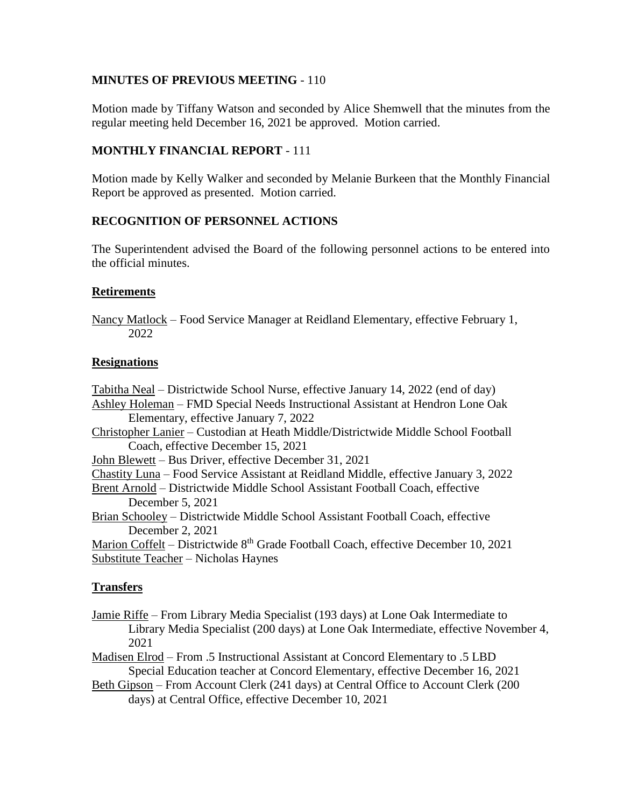## **MINUTES OF PREVIOUS MEETING** - 110

Motion made by Tiffany Watson and seconded by Alice Shemwell that the minutes from the regular meeting held December 16, 2021 be approved. Motion carried.

## **MONTHLY FINANCIAL REPORT** - 111

Motion made by Kelly Walker and seconded by Melanie Burkeen that the Monthly Financial Report be approved as presented. Motion carried.

## **RECOGNITION OF PERSONNEL ACTIONS**

The Superintendent advised the Board of the following personnel actions to be entered into the official minutes.

### **Retirements**

Nancy Matlock – Food Service Manager at Reidland Elementary, effective February 1, 2022

## **Resignations**

Tabitha Neal – Districtwide School Nurse, effective January 14, 2022 (end of day) Ashley Holeman – FMD Special Needs Instructional Assistant at Hendron Lone Oak Elementary, effective January 7, 2022 Christopher Lanier – Custodian at Heath Middle/Districtwide Middle School Football Coach, effective December 15, 2021 John Blewett – Bus Driver, effective December 31, 2021 Chastity Luna – Food Service Assistant at Reidland Middle, effective January 3, 2022 Brent Arnold – Districtwide Middle School Assistant Football Coach, effective December 5, 2021 Brian Schooley – Districtwide Middle School Assistant Football Coach, effective December 2, 2021 Marion Coffelt – Districtwide  $8<sup>th</sup>$  Grade Football Coach, effective December 10, 2021 Substitute Teacher – Nicholas Haynes

# **Transfers**

Jamie Riffe – From Library Media Specialist (193 days) at Lone Oak Intermediate to Library Media Specialist (200 days) at Lone Oak Intermediate, effective November 4, 2021

Madisen Elrod – From .5 Instructional Assistant at Concord Elementary to .5 LBD Special Education teacher at Concord Elementary, effective December 16, 2021

Beth Gipson – From Account Clerk (241 days) at Central Office to Account Clerk (200 days) at Central Office, effective December 10, 2021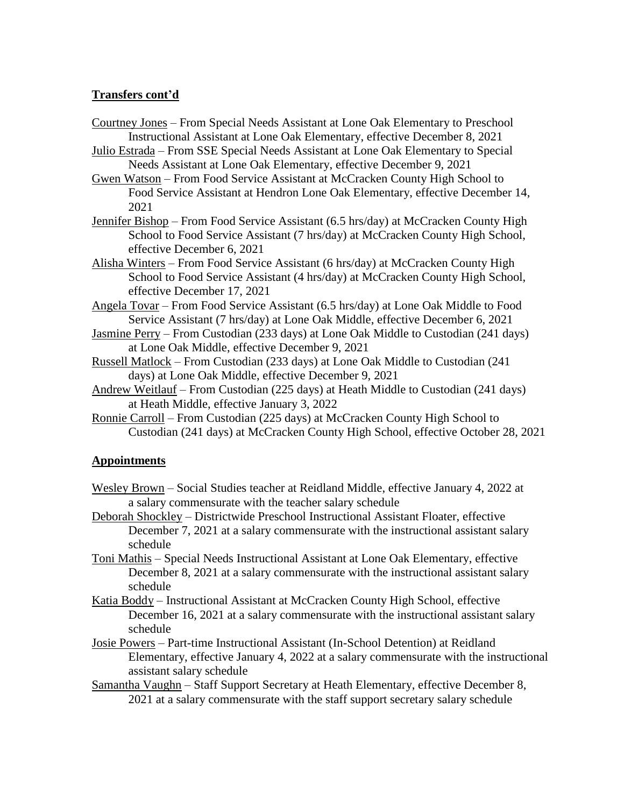## **Transfers cont'd**

- Courtney Jones From Special Needs Assistant at Lone Oak Elementary to Preschool Instructional Assistant at Lone Oak Elementary, effective December 8, 2021
- Julio Estrada From SSE Special Needs Assistant at Lone Oak Elementary to Special Needs Assistant at Lone Oak Elementary, effective December 9, 2021
- Gwen Watson From Food Service Assistant at McCracken County High School to Food Service Assistant at Hendron Lone Oak Elementary, effective December 14, 2021
- Jennifer Bishop From Food Service Assistant (6.5 hrs/day) at McCracken County High School to Food Service Assistant (7 hrs/day) at McCracken County High School, effective December 6, 2021
- Alisha Winters From Food Service Assistant (6 hrs/day) at McCracken County High School to Food Service Assistant (4 hrs/day) at McCracken County High School, effective December 17, 2021
- Angela Tovar From Food Service Assistant (6.5 hrs/day) at Lone Oak Middle to Food Service Assistant (7 hrs/day) at Lone Oak Middle, effective December 6, 2021
- Jasmine Perry From Custodian (233 days) at Lone Oak Middle to Custodian (241 days) at Lone Oak Middle, effective December 9, 2021
- Russell Matlock From Custodian (233 days) at Lone Oak Middle to Custodian (241 days) at Lone Oak Middle, effective December 9, 2021
- Andrew Weitlauf From Custodian (225 days) at Heath Middle to Custodian (241 days) at Heath Middle, effective January 3, 2022
- Ronnie Carroll From Custodian (225 days) at McCracken County High School to Custodian (241 days) at McCracken County High School, effective October 28, 2021

### **Appointments**

- Wesley Brown Social Studies teacher at Reidland Middle, effective January 4, 2022 at a salary commensurate with the teacher salary schedule
- Deborah Shockley Districtwide Preschool Instructional Assistant Floater, effective December 7, 2021 at a salary commensurate with the instructional assistant salary schedule
- Toni Mathis Special Needs Instructional Assistant at Lone Oak Elementary, effective December 8, 2021 at a salary commensurate with the instructional assistant salary schedule
- Katia Boddy Instructional Assistant at McCracken County High School, effective December 16, 2021 at a salary commensurate with the instructional assistant salary schedule
- Josie Powers Part-time Instructional Assistant (In-School Detention) at Reidland Elementary, effective January 4, 2022 at a salary commensurate with the instructional assistant salary schedule
- Samantha Vaughn Staff Support Secretary at Heath Elementary, effective December 8, 2021 at a salary commensurate with the staff support secretary salary schedule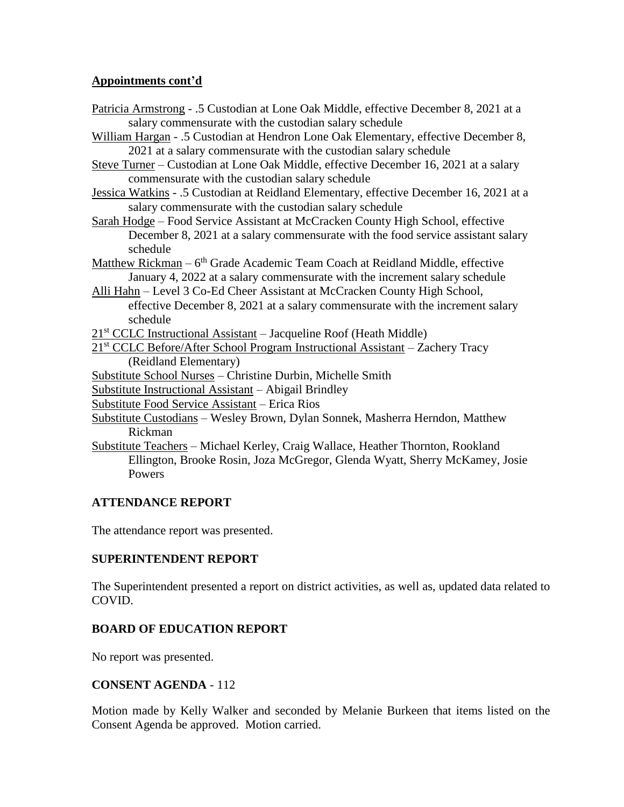## **Appointments cont'd**

Patricia Armstrong - .5 Custodian at Lone Oak Middle, effective December 8, 2021 at a salary commensurate with the custodian salary schedule

- William Hargan .5 Custodian at Hendron Lone Oak Elementary, effective December 8, 2021 at a salary commensurate with the custodian salary schedule
- Steve Turner Custodian at Lone Oak Middle, effective December 16, 2021 at a salary commensurate with the custodian salary schedule
- Jessica Watkins .5 Custodian at Reidland Elementary, effective December 16, 2021 at a salary commensurate with the custodian salary schedule
- Sarah Hodge Food Service Assistant at McCracken County High School, effective December 8, 2021 at a salary commensurate with the food service assistant salary schedule
- Matthew Rickman 6<sup>th</sup> Grade Academic Team Coach at Reidland Middle, effective January 4, 2022 at a salary commensurate with the increment salary schedule
- Alli Hahn Level 3 Co-Ed Cheer Assistant at McCracken County High School, effective December 8, 2021 at a salary commensurate with the increment salary schedule
- 21<sup>st</sup> CCLC Instructional Assistant Jacqueline Roof (Heath Middle)
- 21<sup>st</sup> CCLC Before/After School Program Instructional Assistant Zachery Tracy (Reidland Elementary)
- Substitute School Nurses Christine Durbin, Michelle Smith
- Substitute Instructional Assistant Abigail Brindley
- Substitute Food Service Assistant Erica Rios
- Substitute Custodians Wesley Brown, Dylan Sonnek, Masherra Herndon, Matthew Rickman
- Substitute Teachers Michael Kerley, Craig Wallace, Heather Thornton, Rookland Ellington, Brooke Rosin, Joza McGregor, Glenda Wyatt, Sherry McKamey, Josie Powers

# **ATTENDANCE REPORT**

The attendance report was presented.

### **SUPERINTENDENT REPORT**

The Superintendent presented a report on district activities, as well as, updated data related to COVID.

# **BOARD OF EDUCATION REPORT**

No report was presented.

### **CONSENT AGENDA** - 112

Motion made by Kelly Walker and seconded by Melanie Burkeen that items listed on the Consent Agenda be approved. Motion carried.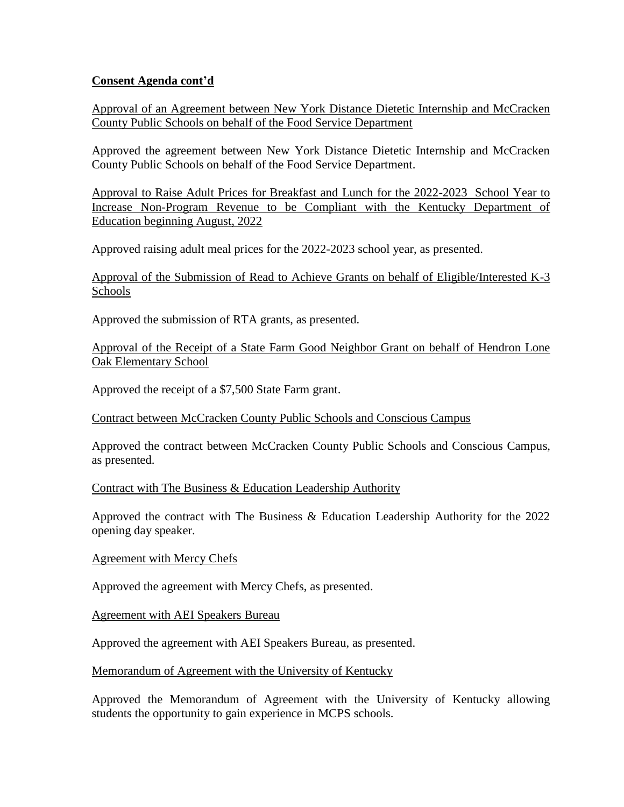## **Consent Agenda cont'd**

Approval of an Agreement between New York Distance Dietetic Internship and McCracken County Public Schools on behalf of the Food Service Department

Approved the agreement between New York Distance Dietetic Internship and McCracken County Public Schools on behalf of the Food Service Department.

Approval to Raise Adult Prices for Breakfast and Lunch for the 2022-2023 School Year to Increase Non-Program Revenue to be Compliant with the Kentucky Department of Education beginning August, 2022

Approved raising adult meal prices for the 2022-2023 school year, as presented.

Approval of the Submission of Read to Achieve Grants on behalf of Eligible/Interested K-3 Schools

Approved the submission of RTA grants, as presented.

Approval of the Receipt of a State Farm Good Neighbor Grant on behalf of Hendron Lone Oak Elementary School

Approved the receipt of a \$7,500 State Farm grant.

Contract between McCracken County Public Schools and Conscious Campus

Approved the contract between McCracken County Public Schools and Conscious Campus, as presented.

### Contract with The Business & Education Leadership Authority

Approved the contract with The Business & Education Leadership Authority for the 2022 opening day speaker.

### Agreement with Mercy Chefs

Approved the agreement with Mercy Chefs, as presented.

Agreement with AEI Speakers Bureau

Approved the agreement with AEI Speakers Bureau, as presented.

Memorandum of Agreement with the University of Kentucky

Approved the Memorandum of Agreement with the University of Kentucky allowing students the opportunity to gain experience in MCPS schools.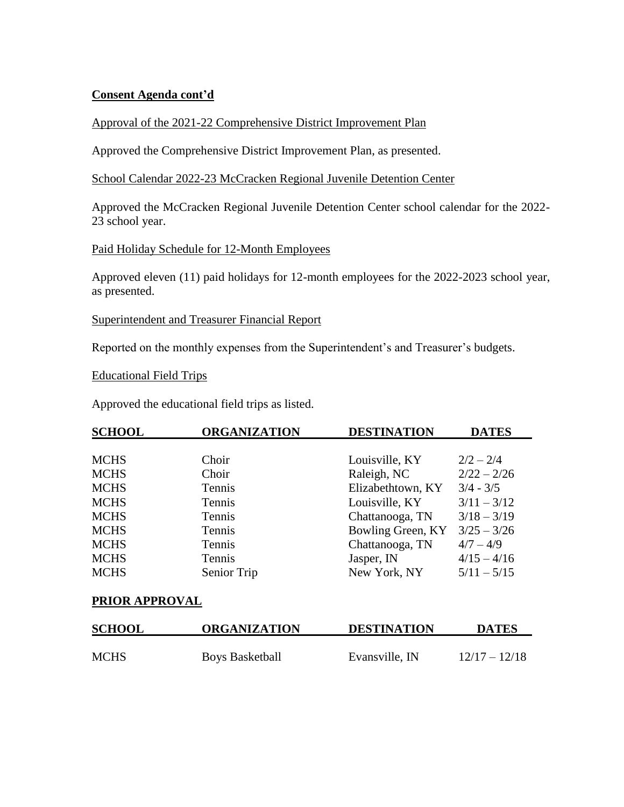## **Consent Agenda cont'd**

## Approval of the 2021-22 Comprehensive District Improvement Plan

Approved the Comprehensive District Improvement Plan, as presented.

School Calendar 2022-23 McCracken Regional Juvenile Detention Center

Approved the McCracken Regional Juvenile Detention Center school calendar for the 2022- 23 school year.

### Paid Holiday Schedule for 12-Month Employees

Approved eleven (11) paid holidays for 12-month employees for the 2022-2023 school year, as presented.

Superintendent and Treasurer Financial Report

Reported on the monthly expenses from the Superintendent's and Treasurer's budgets.

Educational Field Trips

Approved the educational field trips as listed.

| <b>SCHOOL</b> | <b>ORGANIZATION</b> | <b>DESTINATION</b> | <b>DATES</b>  |
|---------------|---------------------|--------------------|---------------|
|               |                     |                    |               |
| <b>MCHS</b>   | Choir               | Louisville, KY     | $2/2 - 2/4$   |
| <b>MCHS</b>   | Choir               | Raleigh, NC        | $2/22 - 2/26$ |
| <b>MCHS</b>   | Tennis              | Elizabethtown, KY  | $3/4 - 3/5$   |
| <b>MCHS</b>   | Tennis              | Louisville, KY     | $3/11 - 3/12$ |
| <b>MCHS</b>   | Tennis              | Chattanooga, TN    | $3/18 - 3/19$ |
| <b>MCHS</b>   | Tennis              | Bowling Green, KY  | $3/25 - 3/26$ |
| <b>MCHS</b>   | Tennis              | Chattanooga, TN    | $4/7 - 4/9$   |
| <b>MCHS</b>   | Tennis              | Jasper, IN         | $4/15 - 4/16$ |
| <b>MCHS</b>   | Senior Trip         | New York, NY       | $5/11 - 5/15$ |

### **PRIOR APPROVAL**

| <b>SCHOOL</b> | <b>ORGANIZATION</b>    | <b>DESTINATION</b> | <b>DATES</b>    |
|---------------|------------------------|--------------------|-----------------|
| <b>MCHS</b>   | <b>Boys Basketball</b> | Evansville, IN     | $12/17 - 12/18$ |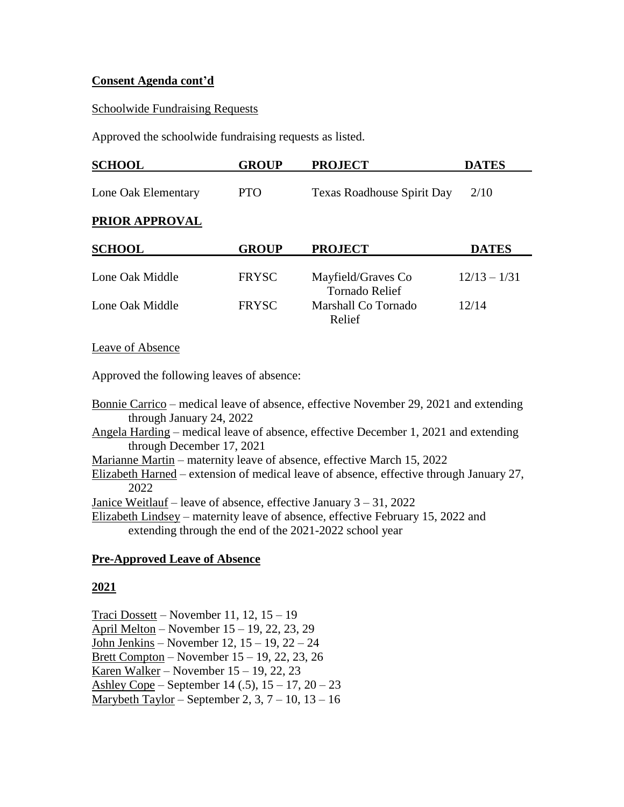## **Consent Agenda cont'd**

#### Schoolwide Fundraising Requests

Approved the schoolwide fundraising requests as listed.

| <b>SCHOOL</b>         | <b>GROUP</b> | <b>PROJECT</b>                              | <b>DATES</b>   |
|-----------------------|--------------|---------------------------------------------|----------------|
| Lone Oak Elementary   | <b>PTO</b>   | <b>Texas Roadhouse Spirit Day</b>           | 2/10           |
| <b>PRIOR APPROVAL</b> |              |                                             |                |
| <b>SCHOOL</b>         | <b>GROUP</b> | <b>PROJECT</b>                              | <b>DATES</b>   |
| Lone Oak Middle       | <b>FRYSC</b> | Mayfield/Graves Co<br><b>Tornado Relief</b> | $12/13 - 1/31$ |
| Lone Oak Middle       | <b>FRYSC</b> | Marshall Co Tornado<br>Relief               | 12/14          |
|                       |              |                                             |                |

Leave of Absence

Approved the following leaves of absence:

Bonnie Carrico – medical leave of absence, effective November 29, 2021 and extending through January 24, 2022

Angela Harding – medical leave of absence, effective December 1, 2021 and extending through December 17, 2021

Marianne Martin – maternity leave of absence, effective March 15, 2022

Elizabeth Harned – extension of medical leave of absence, effective through January 27, 2022

Janice Weitlauf – leave of absence, effective January 3 – 31, 2022

Elizabeth Lindsey – maternity leave of absence, effective February 15, 2022 and extending through the end of the 2021-2022 school year

### **Pre-Approved Leave of Absence**

# **2021**

Traci Dossett – November 11, 12, 15 – 19 April Melton – November 15 – 19, 22, 23, 29 John Jenkins – November 12, 15 – 19, 22 – 24 Brett Compton – November 15 – 19, 22, 23, 26 Karen Walker – November  $15 - 19$ , 22, 23 Ashley Cope – September 14 (.5),  $15 - 17$ ,  $20 - 23$ Marybeth Taylor – September 2,  $3, 7 - 10, 13 - 16$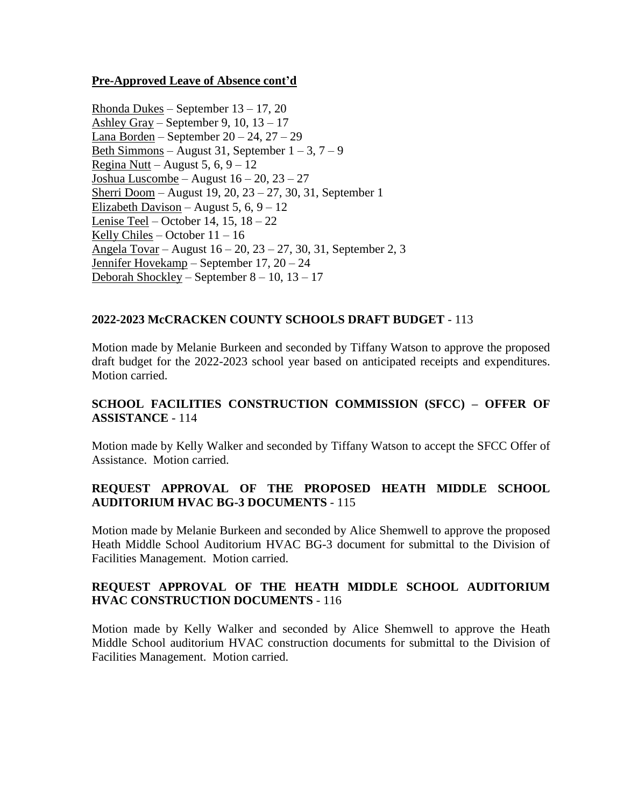# **Pre-Approved Leave of Absence cont'd**

Rhonda Dukes – September 13 – 17, 20 Ashley Gray – September 9, 10, 13 – 17 Lana Borden – September  $20 - 24$ ,  $27 - 29$ Beth Simmons – August 31, September  $1 - 3$ ,  $7 - 9$ Regina Nutt – August 5, 6,  $9 - 12$ Joshua Luscombe – August 16 – 20, 23 – 27 Sherri Doom – August 19, 20, 23 – 27, 30, 31, September 1 Elizabeth Davison – August 5, 6,  $9 - 12$ Lenise Teel – October 14, 15, 18 – 22 Kelly Chiles – October 11 – 16 Angela Tovar – August 16 – 20, 23 – 27, 30, 31, September 2, 3 Jennifer Hovekamp – September 17, 20 – 24 Deborah Shockley – September 8 – 10, 13 – 17

# **2022-2023 McCRACKEN COUNTY SCHOOLS DRAFT BUDGET** - 113

Motion made by Melanie Burkeen and seconded by Tiffany Watson to approve the proposed draft budget for the 2022-2023 school year based on anticipated receipts and expenditures. Motion carried.

# **SCHOOL FACILITIES CONSTRUCTION COMMISSION (SFCC) – OFFER OF ASSISTANCE** - 114

Motion made by Kelly Walker and seconded by Tiffany Watson to accept the SFCC Offer of Assistance. Motion carried.

# **REQUEST APPROVAL OF THE PROPOSED HEATH MIDDLE SCHOOL AUDITORIUM HVAC BG-3 DOCUMENTS** - 115

Motion made by Melanie Burkeen and seconded by Alice Shemwell to approve the proposed Heath Middle School Auditorium HVAC BG-3 document for submittal to the Division of Facilities Management. Motion carried.

# **REQUEST APPROVAL OF THE HEATH MIDDLE SCHOOL AUDITORIUM HVAC CONSTRUCTION DOCUMENTS** - 116

Motion made by Kelly Walker and seconded by Alice Shemwell to approve the Heath Middle School auditorium HVAC construction documents for submittal to the Division of Facilities Management. Motion carried.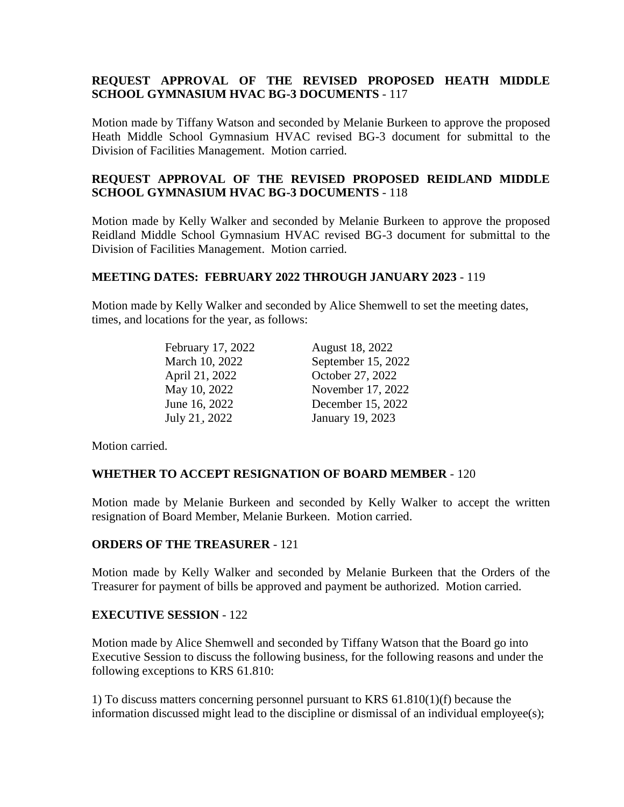# **REQUEST APPROVAL OF THE REVISED PROPOSED HEATH MIDDLE SCHOOL GYMNASIUM HVAC BG-3 DOCUMENTS** - 117

Motion made by Tiffany Watson and seconded by Melanie Burkeen to approve the proposed Heath Middle School Gymnasium HVAC revised BG-3 document for submittal to the Division of Facilities Management. Motion carried.

# **REQUEST APPROVAL OF THE REVISED PROPOSED REIDLAND MIDDLE SCHOOL GYMNASIUM HVAC BG-3 DOCUMENTS** - 118

Motion made by Kelly Walker and seconded by Melanie Burkeen to approve the proposed Reidland Middle School Gymnasium HVAC revised BG-3 document for submittal to the Division of Facilities Management. Motion carried.

# **MEETING DATES: FEBRUARY 2022 THROUGH JANUARY 2023** - 119

Motion made by Kelly Walker and seconded by Alice Shemwell to set the meeting dates, times, and locations for the year, as follows:

| February 17, 2022 | August 18, 2022    |
|-------------------|--------------------|
| March 10, 2022    | September 15, 2022 |
| April 21, 2022    | October 27, 2022   |
| May 10, 2022      | November 17, 2022  |
| June 16, 2022     | December 15, 2022  |
| July 21, 2022     | January 19, 2023   |

Motion carried.

# **WHETHER TO ACCEPT RESIGNATION OF BOARD MEMBER** - 120

Motion made by Melanie Burkeen and seconded by Kelly Walker to accept the written resignation of Board Member, Melanie Burkeen. Motion carried.

### **ORDERS OF THE TREASURER** - 121

Motion made by Kelly Walker and seconded by Melanie Burkeen that the Orders of the Treasurer for payment of bills be approved and payment be authorized. Motion carried.

### **EXECUTIVE SESSION** - 122

Motion made by Alice Shemwell and seconded by Tiffany Watson that the Board go into Executive Session to discuss the following business, for the following reasons and under the following exceptions to KRS 61.810:

1) To discuss matters concerning personnel pursuant to KRS 61.810(1)(f) because the information discussed might lead to the discipline or dismissal of an individual employee(s);